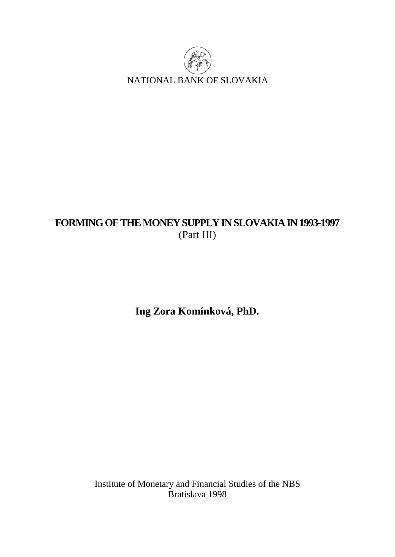

# **FORMING OF THE MONEY SUPPLY IN SLOVAKIA IN 1993-1997**  (Part III)

**Ing Zora Komínková, PhD.** 

Institute of Monetary and Financial Studies of the NBS Bratislava 1998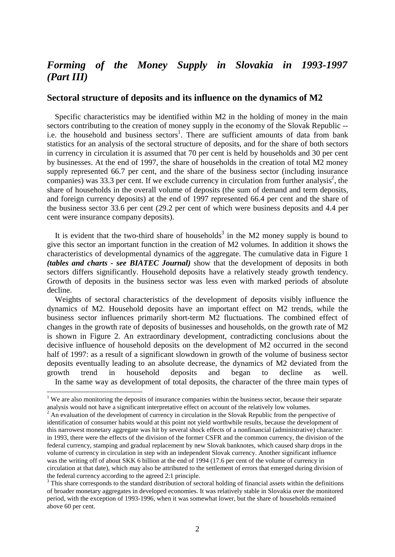# *Forming of the Money Supply in Slovakia in 1993-1997 (Part III)*

### **Sectoral structure of deposits and its influence on the dynamics of M2**

 Specific characteristics may be identified within M2 in the holding of money in the main sectors contributing to the creation of money supply in the economy of the Slovak Republic - i.e. the household and business sectors<sup>1</sup>. There are sufficient amounts of data from bank statistics for an analysis of the sectoral structure of deposits, and for the share of both sectors in currency in circulation it is assumed that 70 per cent is held by households and 30 per cent by businesses. At the end of 1997, the share of households in the creation of total M2 money supply represented 66.7 per cent, and the share of the business sector (including insurance companies) was  $33.3$  per cent. If we exclude currency in circulation from further analysis<sup>2</sup>, the share of households in the overall volume of deposits (the sum of demand and term deposits, and foreign currency deposits) at the end of 1997 represented 66.4 per cent and the share of the business sector 33.6 per cent (29.2 per cent of which were business deposits and 4.4 per cent were insurance company deposits).

It is evident that the two-third share of households<sup>3</sup> in the M2 money supply is bound to give this sector an important function in the creation of M2 volumes. In addition it shows the characteristics of developmental dynamics of the aggregate. The cumulative data in Figure 1 *(tables and charts - see BIATEC Journal)* show that the development of deposits in both sectors differs significantly. Household deposits have a relatively steady growth tendency. Growth of deposits in the business sector was less even with marked periods of absolute decline.

 Weights of sectoral characteristics of the development of deposits visibly influence the dynamics of M2. Household deposits have an important effect on M2 trends, while the business sector influences primarily short-term M2 fluctuations. The combined effect of changes in the growth rate of deposits of businesses and households, on the growth rate of M2 is shown in Figure 2. An extraordinary development, contradicting conclusions about the decisive influence of household deposits on the development of M2 occurred in the second half of 1997: as a result of a significant slowdown in growth of the volume of business sector deposits eventually leading to an absolute decrease, the dynamics of M2 deviated from the growth trend in household deposits and began to decline as well. In the same way as development of total deposits, the character of the three main types of

 $\overline{a}$ 

 $1$  We are also monitoring the deposits of insurance companies within the business sector, because their separate analysis would not have a significant interpretative effect on account of the relatively low volumes.

<sup>&</sup>lt;sup>2</sup> An evaluation of the development of currency in circulation in the Slovak Republic from the perspective of identification of consumer habits would at this point not yield worthwhile results, because the development of this narrowest monetary aggregate was hit by several shock effects of a nonfinancial (administrative) character: in 1993, there were the effects of the division of the former CSFR and the common currency, the division of the federal currency, stamping and gradual replacement by new Slovak banknotes, which caused sharp drops in the volume of currency in circulation in step with an independent Slovak currency. Another significant influence was the writing off of about SKK 6 billion at the end of 1994 (17.6 per cent of the volume of currency in circulation at that date), which may also be attributed to the settlement of errors that emerged during division of the federal currency according to the agreed 2:1 principle.

<sup>&</sup>lt;sup>3</sup> This share corresponds to the standard distribution of sectoral holding of financial assets within the definitions of broader monetary aggregates in developed economies. It was relatively stable in Slovakia over the monitored period, with the exception of 1993-1996, when it was somewhat lower, but the share of households remained above 60 per cent.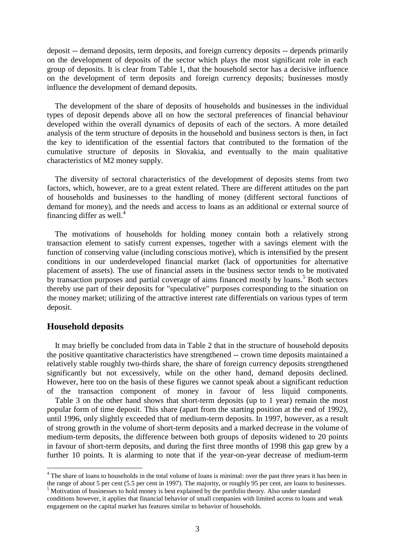deposit -- demand deposits, term deposits, and foreign currency deposits -- depends primarily on the development of deposits of the sector which plays the most significant role in each group of deposits. It is clear from Table 1, that the household sector has a decisive influence on the development of term deposits and foreign currency deposits; businesses mostly influence the development of demand deposits.

 The development of the share of deposits of households and businesses in the individual types of deposit depends above all on how the sectoral preferences of financial behaviour developed within the overall dynamics of deposits of each of the sectors. A more detailed analysis of the term structure of deposits in the household and business sectors is then, in fact the key to identification of the essential factors that contributed to the formation of the cumulative structure of deposits in Slovakia, and eventually to the main qualitative characteristics of M2 money supply.

 The diversity of sectoral characteristics of the development of deposits stems from two factors, which, however, are to a great extent related. There are different attitudes on the part of households and businesses to the handling of money (different sectoral functions of demand for money), and the needs and access to loans as an additional or external source of financing differ as well. $4$ 

 The motivations of households for holding money contain both a relatively strong transaction element to satisfy current expenses, together with a savings element with the function of conserving value (including conscious motive), which is intensified by the present conditions in our underdeveloped financial market (lack of opportunities for alternative placement of assets). The use of financial assets in the business sector tends to be motivated by transaction purposes and partial coverage of aims financed mostly by loans.<sup>5</sup> Both sectors thereby use part of their deposits for "speculative" purposes corresponding to the situation on the money market; utilizing of the attractive interest rate differentials on various types of term deposit.

#### **Household deposits**

 $\overline{a}$ 

 It may briefly be concluded from data in Table 2 that in the structure of household deposits the positive quantitative characteristics have strengthened -- crown time deposits maintained a relatively stable roughly two-thirds share, the share of foreign currency deposits strengthened significantly but not excessively, while on the other hand, demand deposits declined. However, here too on the basis of these figures we cannot speak about a significant reduction of the transaction component of money in favour of less liquid components.

 Table 3 on the other hand shows that short-term deposits (up to 1 year) remain the most popular form of time deposit. This share (apart from the starting position at the end of 1992), until 1996, only slightly exceeded that of medium-term deposits. In 1997, however, as a result of strong growth in the volume of short-term deposits and a marked decrease in the volume of medium-term deposits, the difference between both groups of deposits widened to 20 points in favour of short-term deposits, and during the first three months of 1998 this gap grew by a further 10 points. It is alarming to note that if the year-on-year decrease of medium-term

<sup>&</sup>lt;sup>4</sup> The share of loans to households in the total volume of loans is minimal: over the past three years it has been in the range of about 5 per cent (5.5 per cent in 1997). The majority, or roughly 95 per cent, are loans to businesses.

<sup>&</sup>lt;sup>5</sup> Motivation of businesses to hold money is best explained by the portfolio theory. Also under standard conditions however, it applies that financial behavior of small companies with limited access to loans and weak engagement on the capital market has features similar to behavior of households.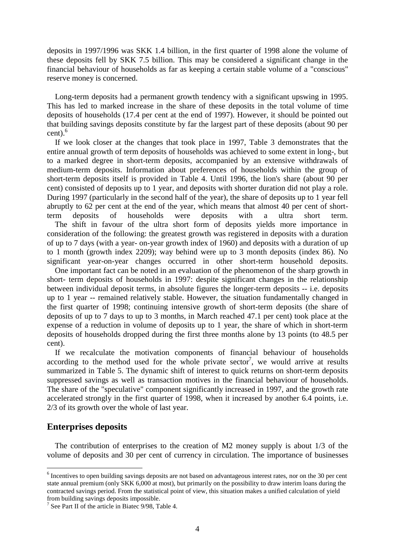deposits in 1997/1996 was SKK 1.4 billion, in the first quarter of 1998 alone the volume of these deposits fell by SKK 7.5 billion. This may be considered a significant change in the financial behaviour of households as far as keeping a certain stable volume of a "conscious" reserve money is concerned.

 Long-term deposits had a permanent growth tendency with a significant upswing in 1995. This has led to marked increase in the share of these deposits in the total volume of time deposits of households (17.4 per cent at the end of 1997). However, it should be pointed out that building savings deposits constitute by far the largest part of these deposits (about 90 per cent).<sup>6</sup>

 If we look closer at the changes that took place in 1997, Table 3 demonstrates that the entire annual growth of term deposits of households was achieved to some extent in long-, but to a marked degree in short-term deposits, accompanied by an extensive withdrawals of medium-term deposits. Information about preferences of households within the group of short-term deposits itself is provided in Table 4. Until 1996, the lion's share (about 90 per cent) consisted of deposits up to 1 year, and deposits with shorter duration did not play a role. During 1997 (particularly in the second half of the year), the share of deposits up to 1 year fell abruptly to 62 per cent at the end of the year, which means that almost 40 per cent of shortterm deposits of households were deposits with a ultra short term. The shift in favour of the ultra short form of deposits yields more importance in consideration of the following: the greatest growth was registered in deposits with a duration of up to 7 days (with a year- on-year growth index of 1960) and deposits with a duration of up to 1 month (growth index 2209); way behind were up to 3 month deposits (index 86). No

significant year-on-year changes occurred in other short-term household deposits. One important fact can be noted in an evaluation of the phenomenon of the sharp growth in short- term deposits of households in 1997: despite significant changes in the relationship between individual deposit terms, in absolute figures the longer-term deposits -- i.e. deposits up to 1 year -- remained relatively stable. However, the situation fundamentally changed in the first quarter of 1998; continuing intensive growth of short-term deposits (the share of deposits of up to 7 days to up to 3 months, in March reached 47.1 per cent) took place at the expense of a reduction in volume of deposits up to 1 year, the share of which in short-term deposits of households dropped during the first three months alone by 13 points (to 48.5 per cent).

 If we recalculate the motivation components of financial behaviour of households according to the method used for the whole private sector<sup>7</sup>, we would arrive at results summarized in Table 5. The dynamic shift of interest to quick returns on short-term deposits suppressed savings as well as transaction motives in the financial behaviour of households. The share of the "speculative" component significantly increased in 1997, and the growth rate accelerated strongly in the first quarter of 1998, when it increased by another 6.4 points, i.e. 2/3 of its growth over the whole of last year.

## **Enterprises deposits**

 $\overline{a}$ 

 The contribution of enterprises to the creation of M2 money supply is about 1/3 of the volume of deposits and 30 per cent of currency in circulation. The importance of businesses

 $6$  Incentives to open building savings deposits are not based on advantageous interest rates, nor on the 30 per cent state annual premium (only SKK 6,000 at most), but primarily on the possibility to draw interim loans during the contracted savings period. From the statistical point of view, this situation makes a unified calculation of yield from building savings deposits impossible.

<sup>7</sup> See Part II of the article in Biatec 9/98, Table 4.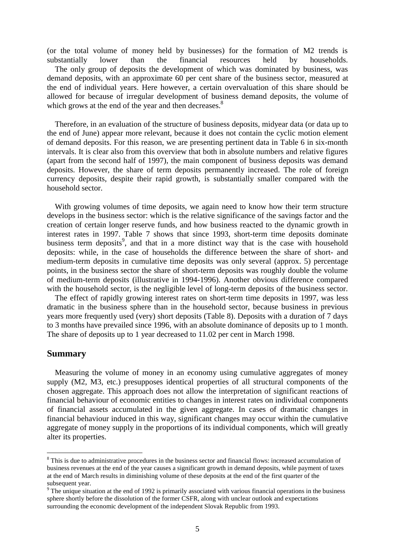(or the total volume of money held by businesses) for the formation of M2 trends is substantially lower than the financial resources held by households. The only group of deposits the development of which was dominated by business, was demand deposits, with an approximate 60 per cent share of the business sector, measured at the end of individual years. Here however, a certain overvaluation of this share should be allowed for because of irregular development of business demand deposits, the volume of which grows at the end of the year and then decreases.<sup>8</sup>

 Therefore, in an evaluation of the structure of business deposits, midyear data (or data up to the end of June) appear more relevant, because it does not contain the cyclic motion element of demand deposits. For this reason, we are presenting pertinent data in Table 6 in six-month intervals. It is clear also from this overview that both in absolute numbers and relative figures (apart from the second half of 1997), the main component of business deposits was demand deposits. However, the share of term deposits permanently increased. The role of foreign currency deposits, despite their rapid growth, is substantially smaller compared with the household sector.

 With growing volumes of time deposits, we again need to know how their term structure develops in the business sector: which is the relative significance of the savings factor and the creation of certain longer reserve funds, and how business reacted to the dynamic growth in interest rates in 1997. Table 7 shows that since 1993, short-term time deposits dominate business term deposits<sup>9</sup>, and that in a more distinct way that is the case with household deposits: while, in the case of households the difference between the share of short- and medium-term deposits in cumulative time deposits was only several (approx. 5) percentage points, in the business sector the share of short-term deposits was roughly double the volume of medium-term deposits (illustrative in 1994-1996). Another obvious difference compared with the household sector, is the negligible level of long-term deposits of the business sector.

 The effect of rapidly growing interest rates on short-term time deposits in 1997, was less dramatic in the business sphere than in the household sector, because business in previous years more frequently used (very) short deposits (Table 8). Deposits with a duration of 7 days to 3 months have prevailed since 1996, with an absolute dominance of deposits up to 1 month. The share of deposits up to 1 year decreased to 11.02 per cent in March 1998.

#### **Summary**

 $\overline{a}$ 

 Measuring the volume of money in an economy using cumulative aggregates of money supply (M2, M3, etc.) presupposes identical properties of all structural components of the chosen aggregate. This approach does not allow the interpretation of significant reactions of financial behaviour of economic entities to changes in interest rates on individual components of financial assets accumulated in the given aggregate. In cases of dramatic changes in financial behaviour induced in this way, significant changes may occur within the cumulative aggregate of money supply in the proportions of its individual components, which will greatly alter its properties.

<sup>&</sup>lt;sup>8</sup> This is due to administrative procedures in the business sector and financial flows: increased accumulation of business revenues at the end of the year causes a significant growth in demand deposits, while payment of taxes at the end of March results in diminishing volume of these deposits at the end of the first quarter of the subsequent year.

 $9$  The unique situation at the end of 1992 is primarily associated with various financial operations in the business sphere shortly before the dissolution of the former CSFR, along with unclear outlook and expectations surrounding the economic development of the independent Slovak Republic from 1993.